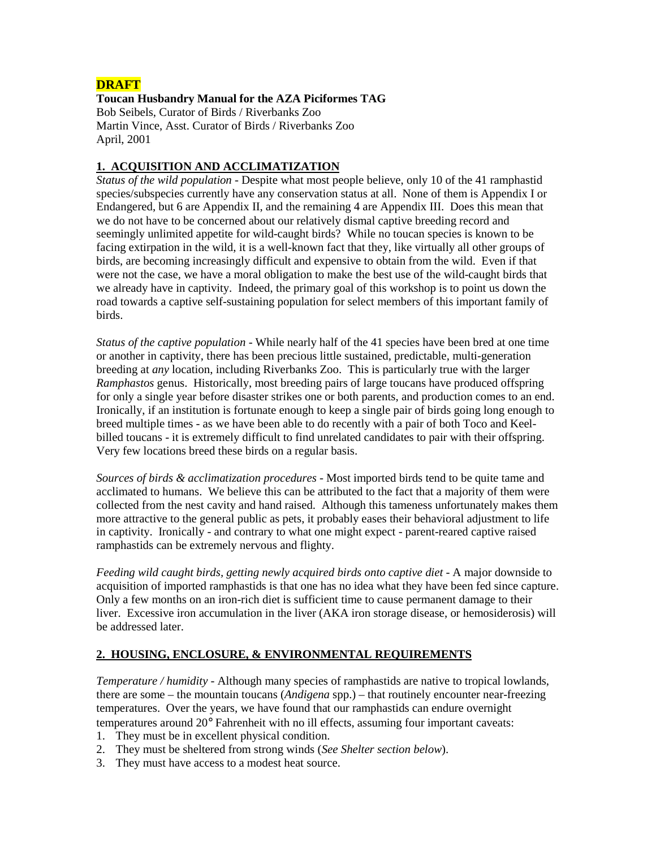## **DRAFT**

**Toucan Husbandry Manual for the AZA Piciformes TAG**  Bob Seibels, Curator of Birds / Riverbanks Zoo Martin Vince, Asst. Curator of Birds / Riverbanks Zoo April, 2001

## **1. ACQUISITION AND ACCLIMATIZATION**

*Status of the wild population* - Despite what most people believe, only 10 of the 41 ramphastid species/subspecies currently have any conservation status at all. None of them is Appendix I or Endangered, but 6 are Appendix II, and the remaining 4 are Appendix III. Does this mean that we do not have to be concerned about our relatively dismal captive breeding record and seemingly unlimited appetite for wild-caught birds? While no toucan species is known to be facing extirpation in the wild, it is a well-known fact that they, like virtually all other groups of birds, are becoming increasingly difficult and expensive to obtain from the wild. Even if that were not the case, we have a moral obligation to make the best use of the wild-caught birds that we already have in captivity. Indeed, the primary goal of this workshop is to point us down the road towards a captive self-sustaining population for select members of this important family of birds.

*Status of the captive population* - While nearly half of the 41 species have been bred at one time or another in captivity, there has been precious little sustained, predictable, multi-generation breeding at *any* location, including Riverbanks Zoo. This is particularly true with the larger *Ramphastos* genus. Historically, most breeding pairs of large toucans have produced offspring for only a single year before disaster strikes one or both parents, and production comes to an end. Ironically, if an institution is fortunate enough to keep a single pair of birds going long enough to breed multiple times - as we have been able to do recently with a pair of both Toco and Keelbilled toucans - it is extremely difficult to find unrelated candidates to pair with their offspring. Very few locations breed these birds on a regular basis.

*Sources of birds & acclimatization procedures* - Most imported birds tend to be quite tame and acclimated to humans. We believe this can be attributed to the fact that a majority of them were collected from the nest cavity and hand raised. Although this tameness unfortunately makes them more attractive to the general public as pets, it probably eases their behavioral adjustment to life in captivity. Ironically - and contrary to what one might expect - parent-reared captive raised ramphastids can be extremely nervous and flighty.

*Feeding wild caught birds, getting newly acquired birds onto captive diet* - A major downside to acquisition of imported ramphastids is that one has no idea what they have been fed since capture. Only a few months on an iron-rich diet is sufficient time to cause permanent damage to their liver. Excessive iron accumulation in the liver (AKA iron storage disease, or hemosiderosis) will be addressed later.

## **2. HOUSING, ENCLOSURE, & ENVIRONMENTAL REQUIREMENTS**

*Temperature / humidity* - Although many species of ramphastids are native to tropical lowlands, there are some – the mountain toucans (*Andigena* spp.) – that routinely encounter near-freezing temperatures. Over the years, we have found that our ramphastids can endure overnight temperatures around 20° Fahrenheit with no ill effects, assuming four important caveats:

- 1. They must be in excellent physical condition.
- 2. They must be sheltered from strong winds (*See Shelter section below*).
- 3. They must have access to a modest heat source.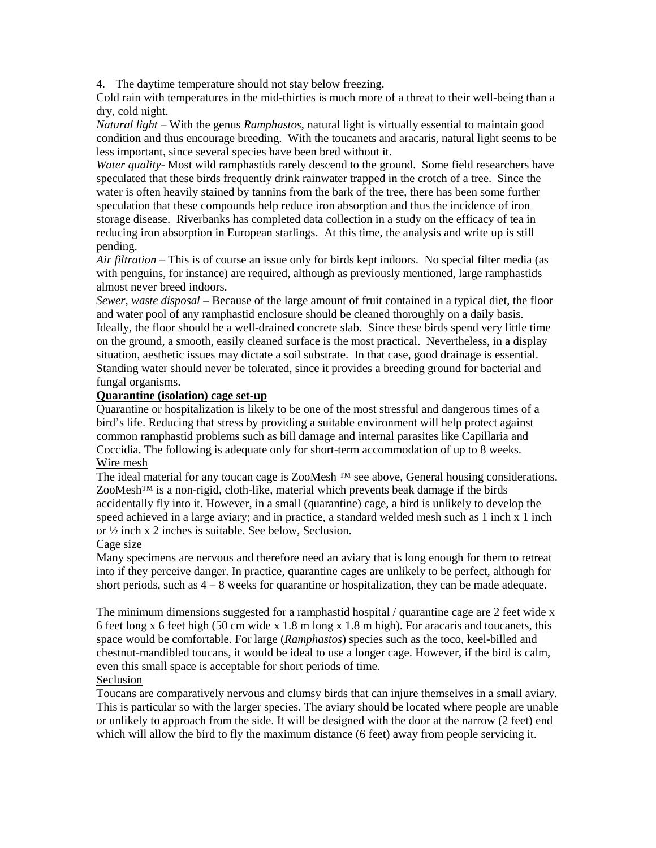4. The daytime temperature should not stay below freezing.

Cold rain with temperatures in the mid-thirties is much more of a threat to their well-being than a dry, cold night.

*Natural light* – With the genus *Ramphastos*, natural light is virtually essential to maintain good condition and thus encourage breeding. With the toucanets and aracaris, natural light seems to be less important, since several species have been bred without it.

*Water quality*- Most wild ramphastids rarely descend to the ground. Some field researchers have speculated that these birds frequently drink rainwater trapped in the crotch of a tree. Since the water is often heavily stained by tannins from the bark of the tree, there has been some further speculation that these compounds help reduce iron absorption and thus the incidence of iron storage disease. Riverbanks has completed data collection in a study on the efficacy of tea in reducing iron absorption in European starlings. At this time, the analysis and write up is still pending.

*Air filtration* – This is of course an issue only for birds kept indoors. No special filter media (as with penguins, for instance) are required, although as previously mentioned, large ramphastids almost never breed indoors.

*Sewer, waste disposal* – Because of the large amount of fruit contained in a typical diet, the floor and water pool of any ramphastid enclosure should be cleaned thoroughly on a daily basis. Ideally, the floor should be a well-drained concrete slab. Since these birds spend very little time on the ground, a smooth, easily cleaned surface is the most practical. Nevertheless, in a display situation, aesthetic issues may dictate a soil substrate. In that case, good drainage is essential. Standing water should never be tolerated, since it provides a breeding ground for bacterial and fungal organisms.

## **Quarantine (isolation) cage set-up**

Quarantine or hospitalization is likely to be one of the most stressful and dangerous times of a bird's life. Reducing that stress by providing a suitable environment will help protect against common ramphastid problems such as bill damage and internal parasites like Capillaria and Coccidia. The following is adequate only for short-term accommodation of up to 8 weeks. Wire mesh

The ideal material for any toucan cage is ZooMesh <sup>™</sup> see above, General housing considerations. ZooMesh<sup>™</sup> is a non-rigid, cloth-like, material which prevents beak damage if the birds accidentally fly into it. However, in a small (quarantine) cage, a bird is unlikely to develop the speed achieved in a large aviary; and in practice, a standard welded mesh such as 1 inch x 1 inch or ½ inch x 2 inches is suitable. See below, Seclusion.

### Cage size

Many specimens are nervous and therefore need an aviary that is long enough for them to retreat into if they perceive danger. In practice, quarantine cages are unlikely to be perfect, although for short periods, such as  $4 - 8$  weeks for quarantine or hospitalization, they can be made adequate.

The minimum dimensions suggested for a ramphastid hospital / quarantine cage are 2 feet wide x 6 feet long x 6 feet high (50 cm wide x 1.8 m long x 1.8 m high). For aracaris and toucanets, this space would be comfortable. For large (*Ramphastos*) species such as the toco, keel-billed and chestnut-mandibled toucans, it would be ideal to use a longer cage. However, if the bird is calm, even this small space is acceptable for short periods of time. Seclusion

Toucans are comparatively nervous and clumsy birds that can injure themselves in a small aviary. This is particular so with the larger species. The aviary should be located where people are unable or unlikely to approach from the side. It will be designed with the door at the narrow (2 feet) end which will allow the bird to fly the maximum distance (6 feet) away from people servicing it.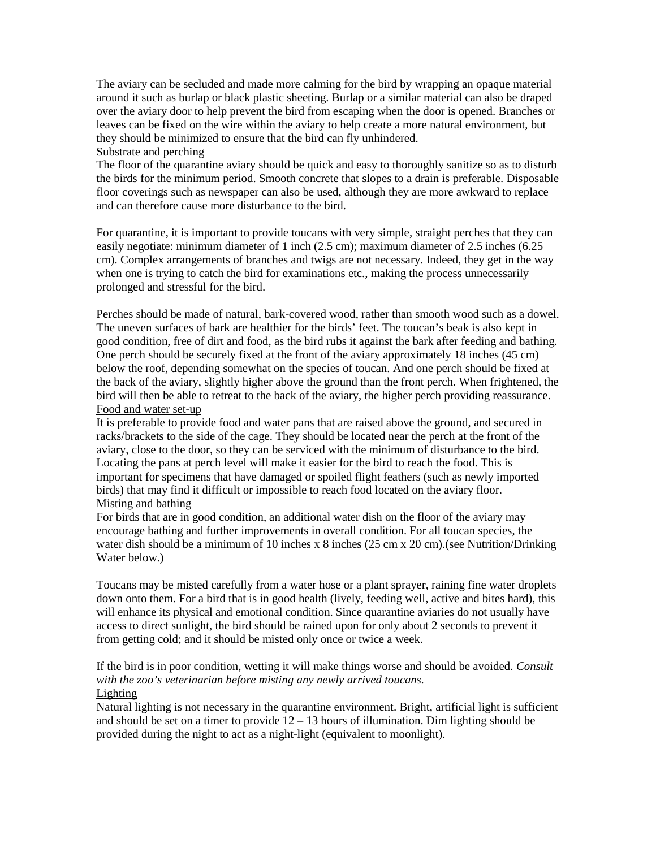The aviary can be secluded and made more calming for the bird by wrapping an opaque material around it such as burlap or black plastic sheeting. Burlap or a similar material can also be draped over the aviary door to help prevent the bird from escaping when the door is opened. Branches or leaves can be fixed on the wire within the aviary to help create a more natural environment, but they should be minimized to ensure that the bird can fly unhindered.

## Substrate and perching

The floor of the quarantine aviary should be quick and easy to thoroughly sanitize so as to disturb the birds for the minimum period. Smooth concrete that slopes to a drain is preferable. Disposable floor coverings such as newspaper can also be used, although they are more awkward to replace and can therefore cause more disturbance to the bird.

For quarantine, it is important to provide toucans with very simple, straight perches that they can easily negotiate: minimum diameter of 1 inch (2.5 cm); maximum diameter of 2.5 inches (6.25 cm). Complex arrangements of branches and twigs are not necessary. Indeed, they get in the way when one is trying to catch the bird for examinations etc., making the process unnecessarily prolonged and stressful for the bird.

Perches should be made of natural, bark-covered wood, rather than smooth wood such as a dowel. The uneven surfaces of bark are healthier for the birds' feet. The toucan's beak is also kept in good condition, free of dirt and food, as the bird rubs it against the bark after feeding and bathing. One perch should be securely fixed at the front of the aviary approximately 18 inches (45 cm) below the roof, depending somewhat on the species of toucan. And one perch should be fixed at the back of the aviary, slightly higher above the ground than the front perch. When frightened, the bird will then be able to retreat to the back of the aviary, the higher perch providing reassurance. Food and water set-up

It is preferable to provide food and water pans that are raised above the ground, and secured in racks/brackets to the side of the cage. They should be located near the perch at the front of the aviary, close to the door, so they can be serviced with the minimum of disturbance to the bird. Locating the pans at perch level will make it easier for the bird to reach the food. This is important for specimens that have damaged or spoiled flight feathers (such as newly imported birds) that may find it difficult or impossible to reach food located on the aviary floor. Misting and bathing

For birds that are in good condition, an additional water dish on the floor of the aviary may encourage bathing and further improvements in overall condition. For all toucan species, the water dish should be a minimum of 10 inches x 8 inches (25 cm x 20 cm).(see Nutrition/Drinking Water below.)

Toucans may be misted carefully from a water hose or a plant sprayer, raining fine water droplets down onto them. For a bird that is in good health (lively, feeding well, active and bites hard), this will enhance its physical and emotional condition. Since quarantine aviaries do not usually have access to direct sunlight, the bird should be rained upon for only about 2 seconds to prevent it from getting cold; and it should be misted only once or twice a week.

If the bird is in poor condition, wetting it will make things worse and should be avoided. *Consult with the zoo's veterinarian before misting any newly arrived toucans.*  Lighting

Natural lighting is not necessary in the quarantine environment. Bright, artificial light is sufficient and should be set on a timer to provide  $12 - 13$  hours of illumination. Dim lighting should be provided during the night to act as a night-light (equivalent to moonlight).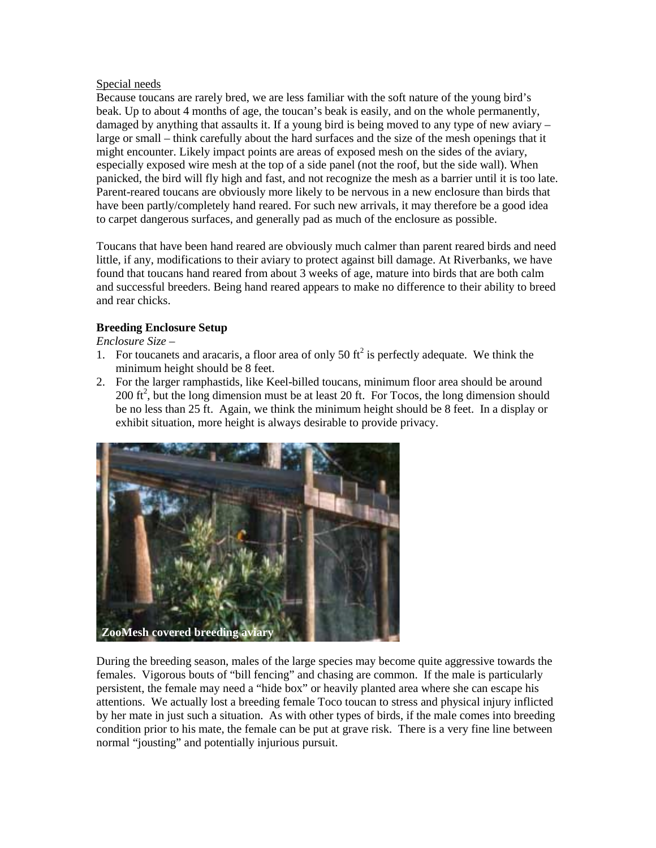## Special needs

Because toucans are rarely bred, we are less familiar with the soft nature of the young bird's beak. Up to about 4 months of age, the toucan's beak is easily, and on the whole permanently, damaged by anything that assaults it. If a young bird is being moved to any type of new aviary – large or small – think carefully about the hard surfaces and the size of the mesh openings that it might encounter. Likely impact points are areas of exposed mesh on the sides of the aviary, especially exposed wire mesh at the top of a side panel (not the roof, but the side wall). When panicked, the bird will fly high and fast, and not recognize the mesh as a barrier until it is too late. Parent-reared toucans are obviously more likely to be nervous in a new enclosure than birds that have been partly/completely hand reared. For such new arrivals, it may therefore be a good idea to carpet dangerous surfaces, and generally pad as much of the enclosure as possible.

Toucans that have been hand reared are obviously much calmer than parent reared birds and need little, if any, modifications to their aviary to protect against bill damage. At Riverbanks, we have found that toucans hand reared from about 3 weeks of age, mature into birds that are both calm and successful breeders. Being hand reared appears to make no difference to their ability to breed and rear chicks.

## **Breeding Enclosure Setup**

*Enclosure Size* –

- 1. For toucanets and aracaris, a floor area of only 50  $\text{ft}^2$  is perfectly adequate. We think the minimum height should be 8 feet.
- 2. For the larger ramphastids, like Keel-billed toucans, minimum floor area should be around 200 ft<sup>2</sup>, but the long dimension must be at least 20 ft. For Tocos, the long dimension should be no less than 25 ft. Again, we think the minimum height should be 8 feet. In a display or exhibit situation, more height is always desirable to provide privacy.



During the breeding season, males of the large species may become quite aggressive towards the females. Vigorous bouts of "bill fencing" and chasing are common. If the male is particularly persistent, the female may need a "hide box" or heavily planted area where she can escape his attentions. We actually lost a breeding female Toco toucan to stress and physical injury inflicted by her mate in just such a situation. As with other types of birds, if the male comes into breeding condition prior to his mate, the female can be put at grave risk. There is a very fine line between normal "jousting" and potentially injurious pursuit.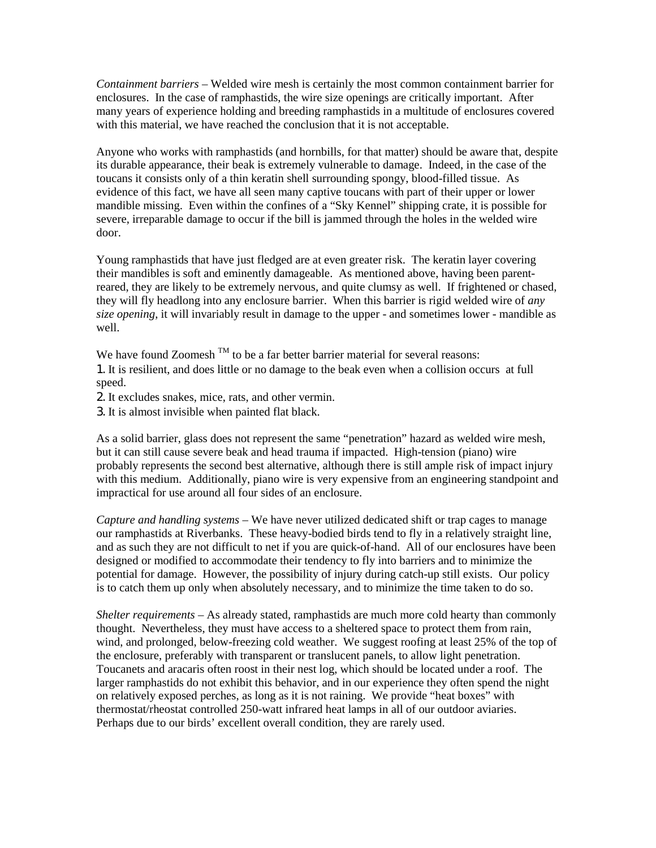*Containment barriers* – Welded wire mesh is certainly the most common containment barrier for enclosures. In the case of ramphastids, the wire size openings are critically important. After many years of experience holding and breeding ramphastids in a multitude of enclosures covered with this material, we have reached the conclusion that it is not acceptable.

Anyone who works with ramphastids (and hornbills, for that matter) should be aware that, despite its durable appearance, their beak is extremely vulnerable to damage. Indeed, in the case of the toucans it consists only of a thin keratin shell surrounding spongy, blood-filled tissue. As evidence of this fact, we have all seen many captive toucans with part of their upper or lower mandible missing. Even within the confines of a "Sky Kennel" shipping crate, it is possible for severe, irreparable damage to occur if the bill is jammed through the holes in the welded wire door.

Young ramphastids that have just fledged are at even greater risk. The keratin layer covering their mandibles is soft and eminently damageable. As mentioned above, having been parentreared, they are likely to be extremely nervous, and quite clumsy as well. If frightened or chased, they will fly headlong into any enclosure barrier. When this barrier is rigid welded wire of *any size opening*, it will invariably result in damage to the upper - and sometimes lower - mandible as well.

We have found Zoomesh  $<sup>TM</sup>$  to be a far better barrier material for several reasons:</sup>

1. It is resilient, and does little or no damage to the beak even when a collision occurs at full speed.

2. It excludes snakes, mice, rats, and other vermin.

3. It is almost invisible when painted flat black.

As a solid barrier, glass does not represent the same "penetration" hazard as welded wire mesh, but it can still cause severe beak and head trauma if impacted. High-tension (piano) wire probably represents the second best alternative, although there is still ample risk of impact injury with this medium. Additionally, piano wire is very expensive from an engineering standpoint and impractical for use around all four sides of an enclosure.

*Capture and handling systems* – We have never utilized dedicated shift or trap cages to manage our ramphastids at Riverbanks. These heavy-bodied birds tend to fly in a relatively straight line, and as such they are not difficult to net if you are quick-of-hand. All of our enclosures have been designed or modified to accommodate their tendency to fly into barriers and to minimize the potential for damage. However, the possibility of injury during catch-up still exists. Our policy is to catch them up only when absolutely necessary, and to minimize the time taken to do so.

*Shelter requirements* – As already stated, ramphastids are much more cold hearty than commonly thought. Nevertheless, they must have access to a sheltered space to protect them from rain, wind, and prolonged, below-freezing cold weather. We suggest roofing at least 25% of the top of the enclosure, preferably with transparent or translucent panels, to allow light penetration. Toucanets and aracaris often roost in their nest log, which should be located under a roof. The larger ramphastids do not exhibit this behavior, and in our experience they often spend the night on relatively exposed perches, as long as it is not raining. We provide "heat boxes" with thermostat/rheostat controlled 250-watt infrared heat lamps in all of our outdoor aviaries. Perhaps due to our birds' excellent overall condition, they are rarely used.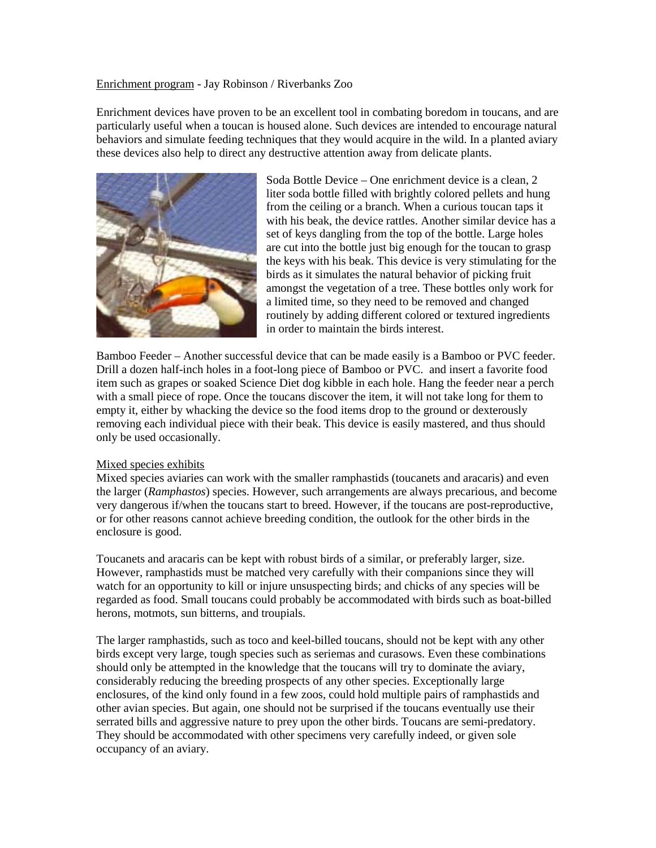#### Enrichment program - Jay Robinson / Riverbanks Zoo

Enrichment devices have proven to be an excellent tool in combating boredom in toucans, and are particularly useful when a toucan is housed alone. Such devices are intended to encourage natural behaviors and simulate feeding techniques that they would acquire in the wild. In a planted aviary these devices also help to direct any destructive attention away from delicate plants.



Soda Bottle Device – One enrichment device is a clean, 2 liter soda bottle filled with brightly colored pellets and hung from the ceiling or a branch. When a curious toucan taps it with his beak, the device rattles. Another similar device has a set of keys dangling from the top of the bottle. Large holes are cut into the bottle just big enough for the toucan to grasp the keys with his beak. This device is very stimulating for the birds as it simulates the natural behavior of picking fruit amongst the vegetation of a tree. These bottles only work for a limited time, so they need to be removed and changed routinely by adding different colored or textured ingredients in order to maintain the birds interest.

Bamboo Feeder – Another successful device that can be made easily is a Bamboo or PVC feeder. Drill a dozen half-inch holes in a foot-long piece of Bamboo or PVC. and insert a favorite food item such as grapes or soaked Science Diet dog kibble in each hole. Hang the feeder near a perch with a small piece of rope. Once the toucans discover the item, it will not take long for them to empty it, either by whacking the device so the food items drop to the ground or dexterously removing each individual piece with their beak. This device is easily mastered, and thus should only be used occasionally.

### Mixed species exhibits

Mixed species aviaries can work with the smaller ramphastids (toucanets and aracaris) and even the larger (*Ramphastos*) species. However, such arrangements are always precarious, and become very dangerous if/when the toucans start to breed. However, if the toucans are post-reproductive, or for other reasons cannot achieve breeding condition, the outlook for the other birds in the enclosure is good.

Toucanets and aracaris can be kept with robust birds of a similar, or preferably larger, size. However, ramphastids must be matched very carefully with their companions since they will watch for an opportunity to kill or injure unsuspecting birds; and chicks of any species will be regarded as food. Small toucans could probably be accommodated with birds such as boat-billed herons, motmots, sun bitterns, and troupials.

The larger ramphastids, such as toco and keel-billed toucans, should not be kept with any other birds except very large, tough species such as seriemas and curasows. Even these combinations should only be attempted in the knowledge that the toucans will try to dominate the aviary, considerably reducing the breeding prospects of any other species. Exceptionally large enclosures, of the kind only found in a few zoos, could hold multiple pairs of ramphastids and other avian species. But again, one should not be surprised if the toucans eventually use their serrated bills and aggressive nature to prey upon the other birds. Toucans are semi-predatory. They should be accommodated with other specimens very carefully indeed, or given sole occupancy of an aviary.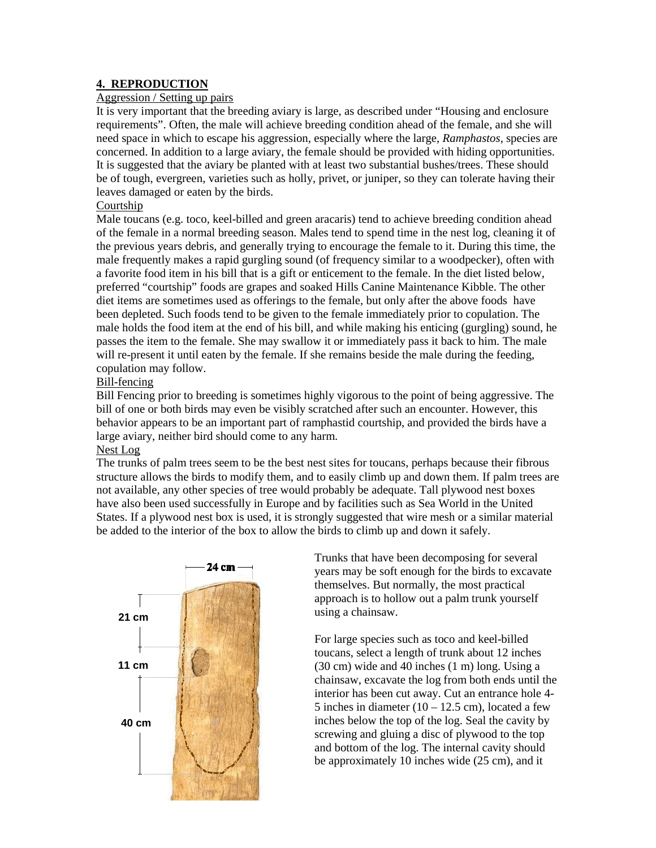### **4. REPRODUCTION**

### Aggression / Setting up pairs

It is very important that the breeding aviary is large, as described under "Housing and enclosure requirements". Often, the male will achieve breeding condition ahead of the female, and she will need space in which to escape his aggression, especially where the large, *Ramphastos*, species are concerned. In addition to a large aviary, the female should be provided with hiding opportunities. It is suggested that the aviary be planted with at least two substantial bushes/trees. These should be of tough, evergreen, varieties such as holly, privet, or juniper, so they can tolerate having their leaves damaged or eaten by the birds.

### Courtship

Male toucans (e.g. toco, keel-billed and green aracaris) tend to achieve breeding condition ahead of the female in a normal breeding season. Males tend to spend time in the nest log, cleaning it of the previous years debris, and generally trying to encourage the female to it. During this time, the male frequently makes a rapid gurgling sound (of frequency similar to a woodpecker), often with a favorite food item in his bill that is a gift or enticement to the female. In the diet listed below, preferred "courtship" foods are grapes and soaked Hills Canine Maintenance Kibble. The other diet items are sometimes used as offerings to the female, but only after the above foods have been depleted. Such foods tend to be given to the female immediately prior to copulation. The male holds the food item at the end of his bill, and while making his enticing (gurgling) sound, he passes the item to the female. She may swallow it or immediately pass it back to him. The male will re-present it until eaten by the female. If she remains beside the male during the feeding, copulation may follow.

### Bill-fencing

Bill Fencing prior to breeding is sometimes highly vigorous to the point of being aggressive. The bill of one or both birds may even be visibly scratched after such an encounter. However, this behavior appears to be an important part of ramphastid courtship, and provided the birds have a large aviary, neither bird should come to any harm.

### Nest Log

The trunks of palm trees seem to be the best nest sites for toucans, perhaps because their fibrous structure allows the birds to modify them, and to easily climb up and down them. If palm trees are not available, any other species of tree would probably be adequate. Tall plywood nest boxes have also been used successfully in Europe and by facilities such as Sea World in the United States. If a plywood nest box is used, it is strongly suggested that wire mesh or a similar material be added to the interior of the box to allow the birds to climb up and down it safely.



Trunks that have been decomposing for several years may be soft enough for the birds to excavate themselves. But normally, the most practical approach is to hollow out a palm trunk yourself using a chainsaw.

For large species such as toco and keel-billed toucans, select a length of trunk about 12 inches (30 cm) wide and 40 inches (1 m) long. Using a chainsaw, excavate the log from both ends until the interior has been cut away. Cut an entrance hole 4- 5 inches in diameter  $(10 - 12.5$  cm), located a few inches below the top of the log. Seal the cavity by screwing and gluing a disc of plywood to the top and bottom of the log. The internal cavity should be approximately 10 inches wide (25 cm), and it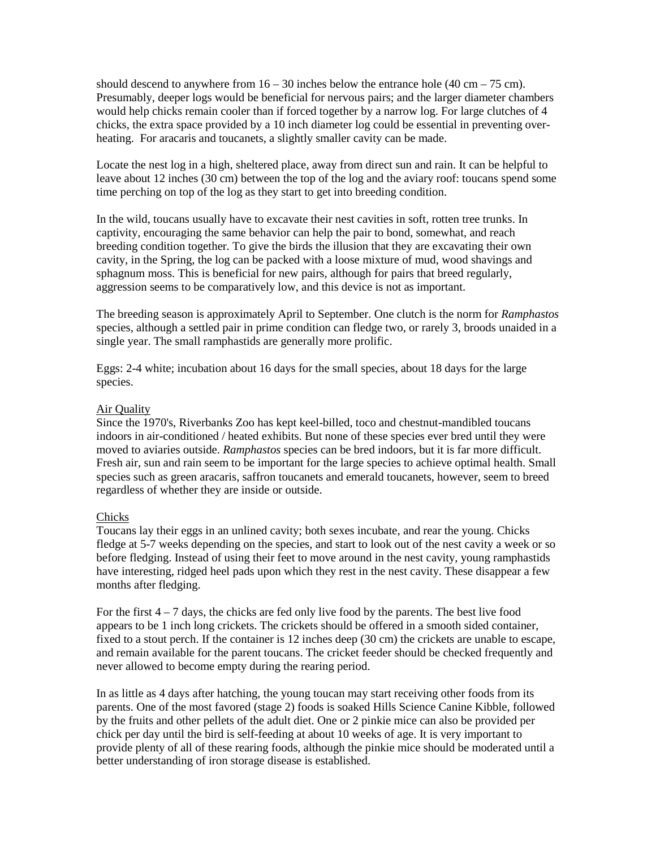should descend to anywhere from  $16 - 30$  inches below the entrance hole  $(40 \text{ cm} - 75 \text{ cm})$ . Presumably, deeper logs would be beneficial for nervous pairs; and the larger diameter chambers would help chicks remain cooler than if forced together by a narrow log. For large clutches of 4 chicks, the extra space provided by a 10 inch diameter log could be essential in preventing overheating. For aracaris and toucanets, a slightly smaller cavity can be made.

Locate the nest log in a high, sheltered place, away from direct sun and rain. It can be helpful to leave about 12 inches (30 cm) between the top of the log and the aviary roof: toucans spend some time perching on top of the log as they start to get into breeding condition.

In the wild, toucans usually have to excavate their nest cavities in soft, rotten tree trunks. In captivity, encouraging the same behavior can help the pair to bond, somewhat, and reach breeding condition together. To give the birds the illusion that they are excavating their own cavity, in the Spring, the log can be packed with a loose mixture of mud, wood shavings and sphagnum moss. This is beneficial for new pairs, although for pairs that breed regularly, aggression seems to be comparatively low, and this device is not as important.

The breeding season is approximately April to September. One clutch is the norm for *Ramphastos* species, although a settled pair in prime condition can fledge two, or rarely 3, broods unaided in a single year. The small ramphastids are generally more prolific.

Eggs: 2-4 white; incubation about 16 days for the small species, about 18 days for the large species.

#### Air Quality

Since the 1970's, Riverbanks Zoo has kept keel-billed, toco and chestnut-mandibled toucans indoors in air-conditioned / heated exhibits. But none of these species ever bred until they were moved to aviaries outside. *Ramphastos* species can be bred indoors, but it is far more difficult. Fresh air, sun and rain seem to be important for the large species to achieve optimal health. Small species such as green aracaris, saffron toucanets and emerald toucanets, however, seem to breed regardless of whether they are inside or outside.

#### Chicks

Toucans lay their eggs in an unlined cavity; both sexes incubate, and rear the young. Chicks fledge at 5-7 weeks depending on the species, and start to look out of the nest cavity a week or so before fledging. Instead of using their feet to move around in the nest cavity, young ramphastids have interesting, ridged heel pads upon which they rest in the nest cavity. These disappear a few months after fledging.

For the first  $4 - 7$  days, the chicks are fed only live food by the parents. The best live food appears to be 1 inch long crickets. The crickets should be offered in a smooth sided container, fixed to a stout perch. If the container is 12 inches deep (30 cm) the crickets are unable to escape, and remain available for the parent toucans. The cricket feeder should be checked frequently and never allowed to become empty during the rearing period.

In as little as 4 days after hatching, the young toucan may start receiving other foods from its parents. One of the most favored (stage 2) foods is soaked Hills Science Canine Kibble, followed by the fruits and other pellets of the adult diet. One or 2 pinkie mice can also be provided per chick per day until the bird is self-feeding at about 10 weeks of age. It is very important to provide plenty of all of these rearing foods, although the pinkie mice should be moderated until a better understanding of iron storage disease is established.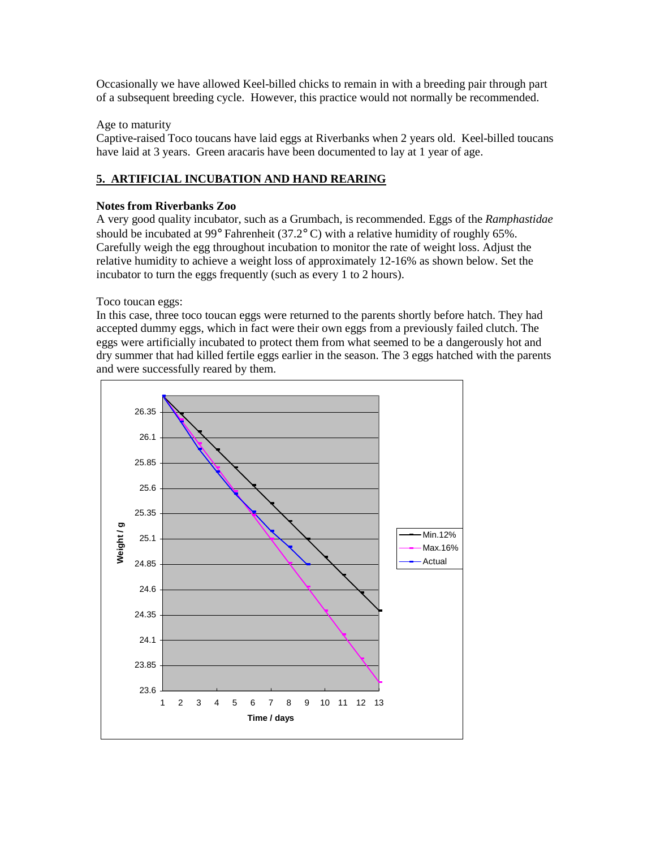Occasionally we have allowed Keel-billed chicks to remain in with a breeding pair through part of a subsequent breeding cycle. However, this practice would not normally be recommended.

### Age to maturity

Captive-raised Toco toucans have laid eggs at Riverbanks when 2 years old. Keel-billed toucans have laid at 3 years. Green aracaris have been documented to lay at 1 year of age.

### **5. ARTIFICIAL INCUBATION AND HAND REARING**

### **Notes from Riverbanks Zoo**

A very good quality incubator, such as a Grumbach, is recommended. Eggs of the *Ramphastidae* should be incubated at 99° Fahrenheit (37.2° C) with a relative humidity of roughly 65%. Carefully weigh the egg throughout incubation to monitor the rate of weight loss. Adjust the relative humidity to achieve a weight loss of approximately 12-16% as shown below. Set the incubator to turn the eggs frequently (such as every 1 to 2 hours).

Toco toucan eggs:

In this case, three toco toucan eggs were returned to the parents shortly before hatch. They had accepted dummy eggs, which in fact were their own eggs from a previously failed clutch. The eggs were artificially incubated to protect them from what seemed to be a dangerously hot and dry summer that had killed fertile eggs earlier in the season. The 3 eggs hatched with the parents and were successfully reared by them.

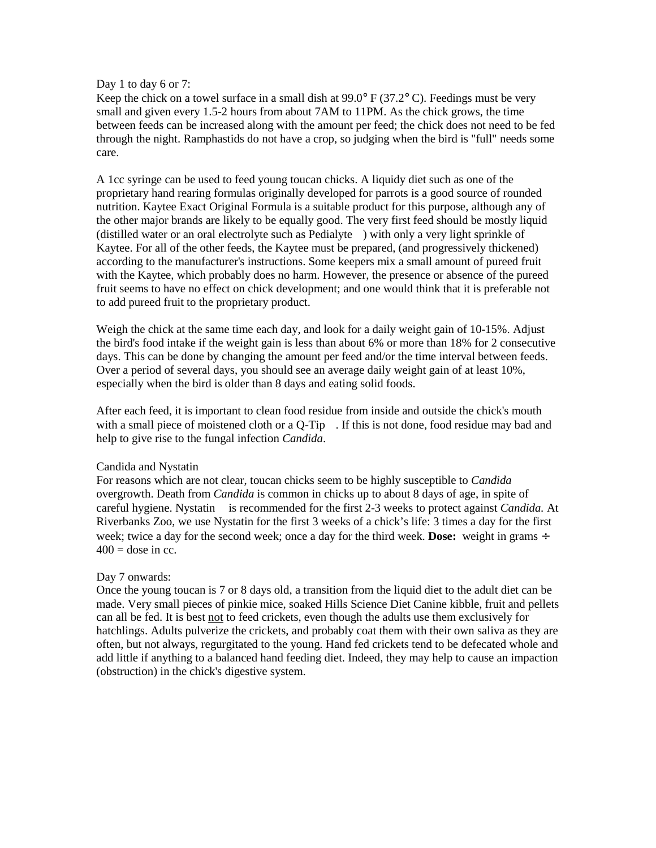#### Day 1 to day 6 or 7:

Keep the chick on a towel surface in a small dish at  $99.0^{\circ}$  F (37.2°C). Feedings must be very small and given every 1.5-2 hours from about 7AM to 11PM. As the chick grows, the time between feeds can be increased along with the amount per feed; the chick does not need to be fed through the night. Ramphastids do not have a crop, so judging when the bird is "full" needs some care.

A 1cc syringe can be used to feed young toucan chicks. A liquidy diet such as one of the proprietary hand rearing formulas originally developed for parrots is a good source of rounded nutrition. Kaytee Exact Original Formula is a suitable product for this purpose, although any of the other major brands are likely to be equally good. The very first feed should be mostly liquid (distilled water or an oral electrolyte such as Pedialyte<sup> $TM$ </sup>) with only a very light sprinkle of Kaytee. For all of the other feeds, the Kaytee must be prepared, (and progressively thickened) according to the manufacturer's instructions. Some keepers mix a small amount of pureed fruit with the Kaytee, which probably does no harm. However, the presence or absence of the pureed fruit seems to have no effect on chick development; and one would think that it is preferable not to add pureed fruit to the proprietary product.

Weigh the chick at the same time each day, and look for a daily weight gain of 10-15%. Adjust the bird's food intake if the weight gain is less than about 6% or more than 18% for 2 consecutive days. This can be done by changing the amount per feed and/or the time interval between feeds. Over a period of several days, you should see an average daily weight gain of at least 10%, especially when the bird is older than 8 days and eating solid foods.

After each feed, it is important to clean food residue from inside and outside the chick's mouth with a small piece of moistened cloth or a  $Q$ -Tip<sup> $TM$ </sup>. If this is not done, food residue may bad and help to give rise to the fungal infection *Candida*.

#### Candida and Nystatin<sup>™</sup>

For reasons which are not clear, toucan chicks seem to be highly susceptible to *Candida* overgrowth. Death from *Candida* is common in chicks up to about 8 days of age, in spite of careful hygiene. Nystatin<sup>TM</sup> is recommended for the first 2-3 weeks to protect against *Candida*. At Riverbanks Zoo, we use Nystatin for the first 3 weeks of a chick's life: 3 times a day for the first week; twice a day for the second week; once a day for the third week. **Dose:** weight in grams ÷  $400 =$  dose in cc.

### Day 7 onwards:

Once the young toucan is 7 or 8 days old, a transition from the liquid diet to the adult diet can be made. Very small pieces of pinkie mice, soaked Hills Science Diet Canine kibble, fruit and pellets can all be fed. It is best not to feed crickets, even though the adults use them exclusively for hatchlings. Adults pulverize the crickets, and probably coat them with their own saliva as they are often, but not always, regurgitated to the young. Hand fed crickets tend to be defecated whole and add little if anything to a balanced hand feeding diet. Indeed, they may help to cause an impaction (obstruction) in the chick's digestive system.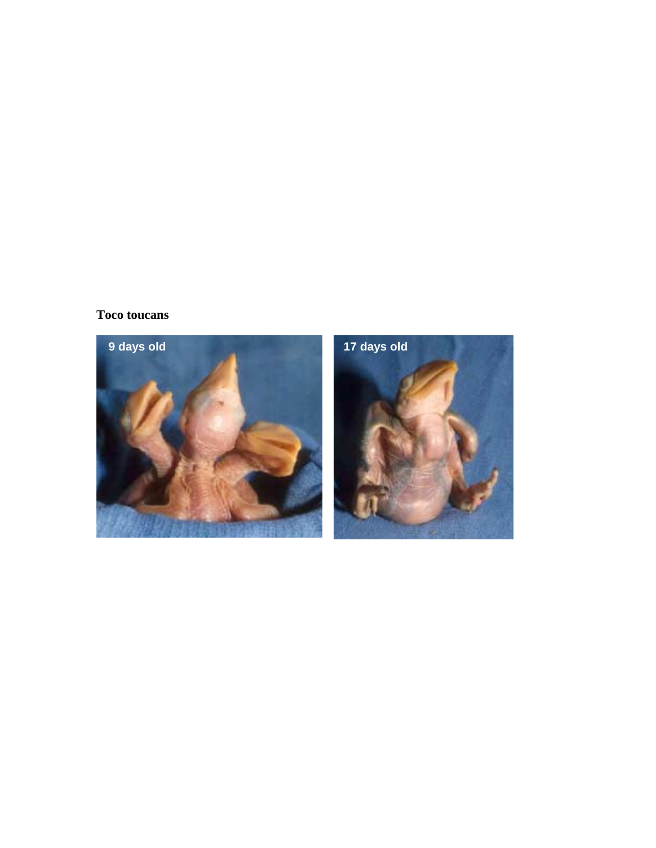# **Toco toucans**

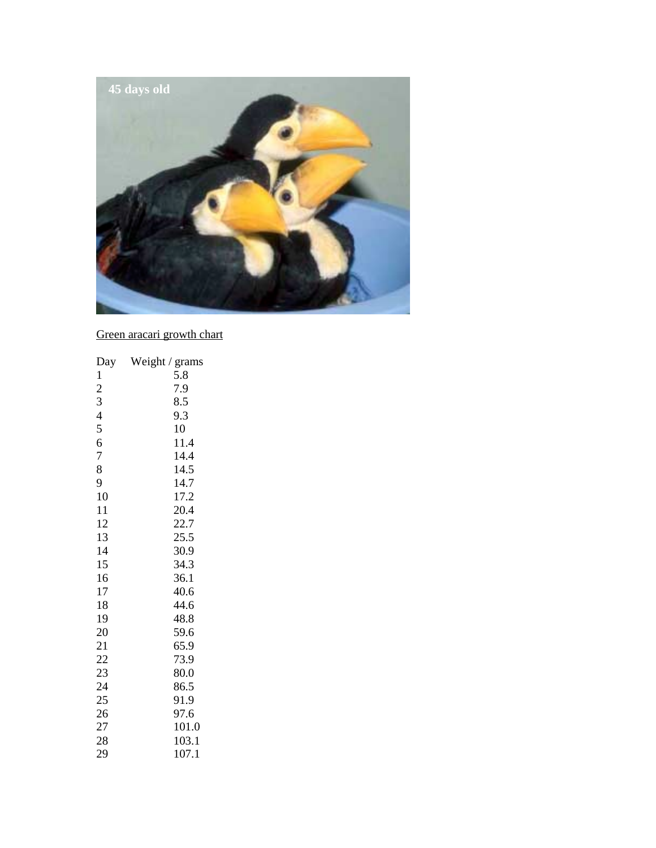

Green aracari growth chart

| Day                      | Weight / grams |
|--------------------------|----------------|
| $\mathbf{1}$             | 5.8            |
| $\overline{c}$           | 7.9            |
| 3                        | 8.5            |
| $\overline{\mathcal{A}}$ | 9.3            |
| 5                        | 10             |
| 6                        | 11.4           |
| 7                        | 14.4           |
| 8                        | 14.5           |
| 9                        | 14.7           |
| 10                       | 17.2           |
| 11                       | 20.4           |
| 12                       | 22.7           |
| 13                       | 25.5           |
| 14                       | 30.9           |
| 15                       | 34.3           |
| 16                       | 36.1           |
| 17                       | 40.6           |
| 18                       | 44.6           |
| 19                       | 48.8           |
| 20                       | 59.6           |
| 21                       | 65.9           |
| 22                       | 73.9           |
| 23                       | 80.0           |
| 24                       | 86.5           |
| 25                       | 91.9           |
| 26                       | 97.6           |
| 27                       | 101.0          |
| 28                       | 103.1          |
| 29                       | 107.1          |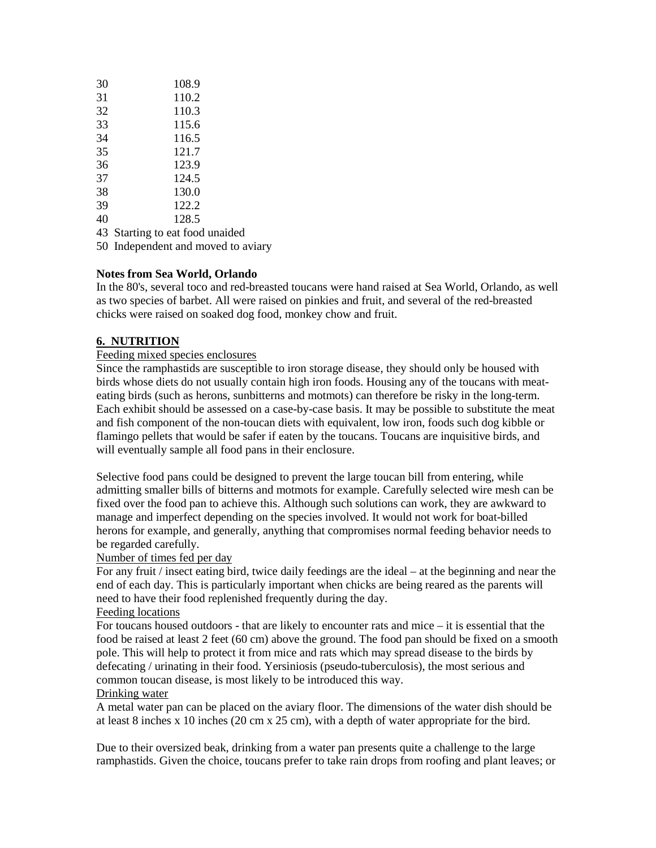| 30 | 108.9 |
|----|-------|
| 31 | 110.2 |
| 32 | 110.3 |
| 33 | 115.6 |
| 34 | 116.5 |
| 35 | 121.7 |
| 36 | 123.9 |
| 37 | 124.5 |
| 38 | 130.0 |
| 39 | 122.2 |
| 40 | 128.5 |

43 Starting to eat food unaided

50 Independent and moved to aviary

### **Notes from Sea World, Orlando**

In the 80's, several toco and red-breasted toucans were hand raised at Sea World, Orlando, as well as two species of barbet. All were raised on pinkies and fruit, and several of the red-breasted chicks were raised on soaked dog food, monkey chow and fruit.

### **6. NUTRITION**

### Feeding mixed species enclosures

Since the ramphastids are susceptible to iron storage disease, they should only be housed with birds whose diets do not usually contain high iron foods. Housing any of the toucans with meateating birds (such as herons, sunbitterns and motmots) can therefore be risky in the long-term. Each exhibit should be assessed on a case-by-case basis. It may be possible to substitute the meat and fish component of the non-toucan diets with equivalent, low iron, foods such dog kibble or flamingo pellets that would be safer if eaten by the toucans. Toucans are inquisitive birds, and will eventually sample all food pans in their enclosure.

Selective food pans could be designed to prevent the large toucan bill from entering, while admitting smaller bills of bitterns and motmots for example. Carefully selected wire mesh can be fixed over the food pan to achieve this. Although such solutions can work, they are awkward to manage and imperfect depending on the species involved. It would not work for boat-billed herons for example, and generally, anything that compromises normal feeding behavior needs to be regarded carefully.

#### Number of times fed per day

For any fruit / insect eating bird, twice daily feedings are the ideal – at the beginning and near the end of each day. This is particularly important when chicks are being reared as the parents will need to have their food replenished frequently during the day.

### Feeding locations

For toucans housed outdoors - that are likely to encounter rats and mice – it is essential that the food be raised at least 2 feet (60 cm) above the ground. The food pan should be fixed on a smooth pole. This will help to protect it from mice and rats which may spread disease to the birds by defecating / urinating in their food. Yersiniosis (pseudo-tuberculosis), the most serious and common toucan disease, is most likely to be introduced this way.

### Drinking water

A metal water pan can be placed on the aviary floor. The dimensions of the water dish should be at least 8 inches x 10 inches (20 cm x 25 cm), with a depth of water appropriate for the bird.

Due to their oversized beak, drinking from a water pan presents quite a challenge to the large ramphastids. Given the choice, toucans prefer to take rain drops from roofing and plant leaves; or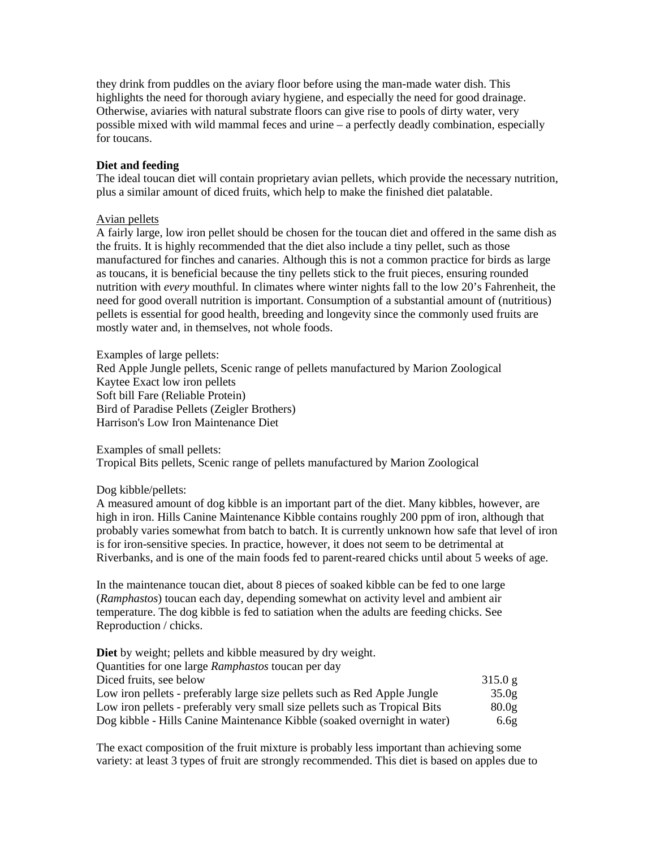they drink from puddles on the aviary floor before using the man-made water dish. This highlights the need for thorough aviary hygiene, and especially the need for good drainage. Otherwise, aviaries with natural substrate floors can give rise to pools of dirty water, very possible mixed with wild mammal feces and urine – a perfectly deadly combination, especially for toucans.

#### **Diet and feeding**

The ideal toucan diet will contain proprietary avian pellets, which provide the necessary nutrition, plus a similar amount of diced fruits, which help to make the finished diet palatable.

#### Avian pellets

A fairly large, low iron pellet should be chosen for the toucan diet and offered in the same dish as the fruits. It is highly recommended that the diet also include a tiny pellet, such as those manufactured for finches and canaries. Although this is not a common practice for birds as large as toucans, it is beneficial because the tiny pellets stick to the fruit pieces, ensuring rounded nutrition with *every* mouthful. In climates where winter nights fall to the low 20's Fahrenheit, the need for good overall nutrition is important. Consumption of a substantial amount of (nutritious) pellets is essential for good health, breeding and longevity since the commonly used fruits are mostly water and, in themselves, not whole foods.

Examples of large pellets: Red Apple Jungle pellets, Scenic range of pellets manufactured by Marion Zoological Kaytee Exact low iron pellets Soft bill Fare (Reliable Protein) Bird of Paradise Pellets (Zeigler Brothers) Harrison's Low Iron Maintenance Diet

Examples of small pellets: Tropical Bits pellets, Scenic range of pellets manufactured by Marion Zoological

#### Dog kibble/pellets:

A measured amount of dog kibble is an important part of the diet. Many kibbles, however, are high in iron. Hills Canine Maintenance Kibble contains roughly 200 ppm of iron, although that probably varies somewhat from batch to batch. It is currently unknown how safe that level of iron is for iron-sensitive species. In practice, however, it does not seem to be detrimental at Riverbanks, and is one of the main foods fed to parent-reared chicks until about 5 weeks of age.

In the maintenance toucan diet, about 8 pieces of soaked kibble can be fed to one large (*Ramphastos*) toucan each day, depending somewhat on activity level and ambient air temperature. The dog kibble is fed to satiation when the adults are feeding chicks. See Reproduction / chicks.

| <b>Diet</b> by weight; pellets and kibble measured by dry weight.           |                   |
|-----------------------------------------------------------------------------|-------------------|
| Quantities for one large Ramphastos toucan per day                          |                   |
| Diced fruits, see below                                                     | 315.0 g           |
| Low iron pellets - preferably large size pellets such as Red Apple Jungle   | 35.0 <sub>g</sub> |
| Low iron pellets - preferably very small size pellets such as Tropical Bits | 80.0 <sub>g</sub> |
| Dog kibble - Hills Canine Maintenance Kibble (soaked overnight in water)    | 6.6g              |

The exact composition of the fruit mixture is probably less important than achieving some variety: at least 3 types of fruit are strongly recommended. This diet is based on apples due to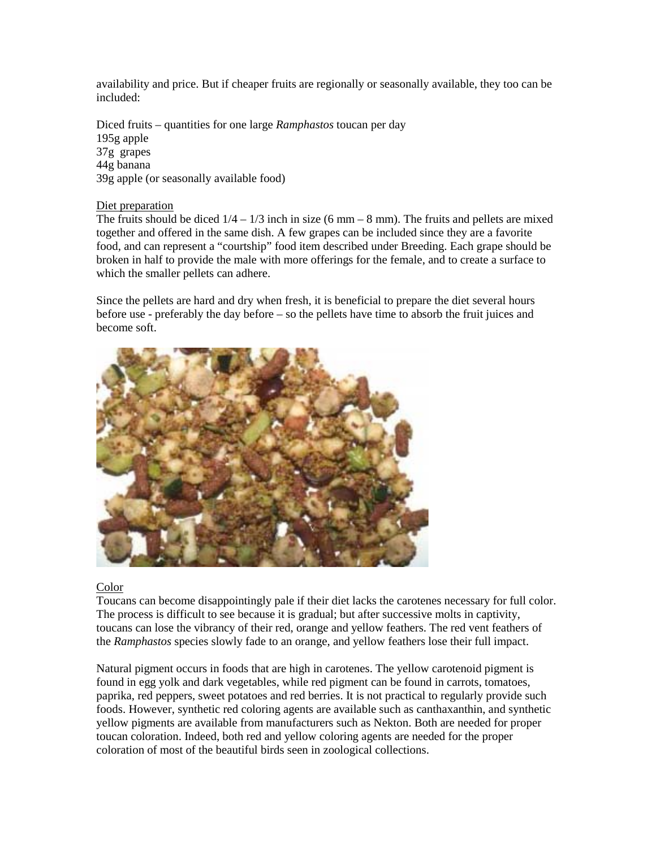availability and price. But if cheaper fruits are regionally or seasonally available, they too can be included:

Diced fruits – quantities for one large *Ramphastos* toucan per day 195g apple 37g grapes 44g banana 39g apple (or seasonally available food)

#### Diet preparation

The fruits should be diced  $1/4 - 1/3$  inch in size (6 mm – 8 mm). The fruits and pellets are mixed together and offered in the same dish. A few grapes can be included since they are a favorite food, and can represent a "courtship" food item described under Breeding. Each grape should be broken in half to provide the male with more offerings for the female, and to create a surface to which the smaller pellets can adhere.

Since the pellets are hard and dry when fresh, it is beneficial to prepare the diet several hours before use - preferably the day before – so the pellets have time to absorb the fruit juices and become soft.



#### Color

Toucans can become disappointingly pale if their diet lacks the carotenes necessary for full color. The process is difficult to see because it is gradual; but after successive molts in captivity, toucans can lose the vibrancy of their red, orange and yellow feathers. The red vent feathers of the *Ramphastos* species slowly fade to an orange, and yellow feathers lose their full impact.

Natural pigment occurs in foods that are high in carotenes. The yellow carotenoid pigment is found in egg yolk and dark vegetables, while red pigment can be found in carrots, tomatoes, paprika, red peppers, sweet potatoes and red berries. It is not practical to regularly provide such foods. However, synthetic red coloring agents are available such as canthaxanthin, and synthetic yellow pigments are available from manufacturers such as Nekton. Both are needed for proper toucan coloration. Indeed, both red and yellow coloring agents are needed for the proper coloration of most of the beautiful birds seen in zoological collections.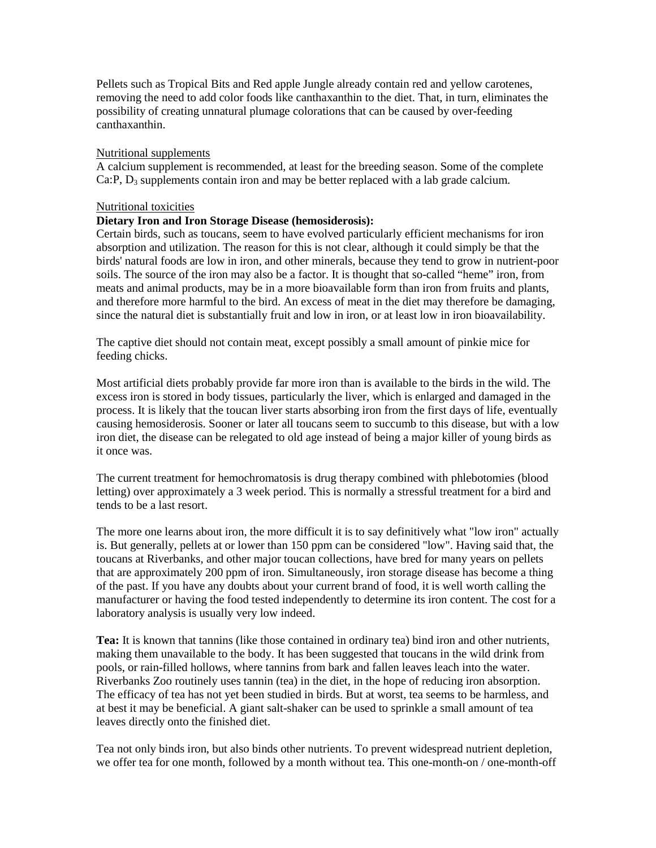Pellets such as Tropical Bits and Red apple Jungle already contain red and yellow carotenes, removing the need to add color foods like canthaxanthin to the diet. That, in turn, eliminates the possibility of creating unnatural plumage colorations that can be caused by over-feeding canthaxanthin.

### Nutritional supplements

A calcium supplement is recommended, at least for the breeding season. Some of the complete Ca:P,  $D_3$  supplements contain iron and may be better replaced with a lab grade calcium.

#### Nutritional toxicities

### **Dietary Iron and Iron Storage Disease (hemosiderosis):**

Certain birds, such as toucans, seem to have evolved particularly efficient mechanisms for iron absorption and utilization. The reason for this is not clear, although it could simply be that the birds' natural foods are low in iron, and other minerals, because they tend to grow in nutrient-poor soils. The source of the iron may also be a factor. It is thought that so-called "heme" iron, from meats and animal products, may be in a more bioavailable form than iron from fruits and plants, and therefore more harmful to the bird. An excess of meat in the diet may therefore be damaging, since the natural diet is substantially fruit and low in iron, or at least low in iron bioavailability.

The captive diet should not contain meat, except possibly a small amount of pinkie mice for feeding chicks.

Most artificial diets probably provide far more iron than is available to the birds in the wild. The excess iron is stored in body tissues, particularly the liver, which is enlarged and damaged in the process. It is likely that the toucan liver starts absorbing iron from the first days of life, eventually causing hemosiderosis. Sooner or later all toucans seem to succumb to this disease, but with a low iron diet, the disease can be relegated to old age instead of being a major killer of young birds as it once was.

The current treatment for hemochromatosis is drug therapy combined with phlebotomies (blood letting) over approximately a 3 week period. This is normally a stressful treatment for a bird and tends to be a last resort.

The more one learns about iron, the more difficult it is to say definitively what "low iron" actually is. But generally, pellets at or lower than 150 ppm can be considered "low". Having said that, the toucans at Riverbanks, and other major toucan collections, have bred for many years on pellets that are approximately 200 ppm of iron. Simultaneously, iron storage disease has become a thing of the past. If you have any doubts about your current brand of food, it is well worth calling the manufacturer or having the food tested independently to determine its iron content. The cost for a laboratory analysis is usually very low indeed.

**Tea:** It is known that tannins (like those contained in ordinary tea) bind iron and other nutrients, making them unavailable to the body. It has been suggested that toucans in the wild drink from pools, or rain-filled hollows, where tannins from bark and fallen leaves leach into the water. Riverbanks Zoo routinely uses tannin (tea) in the diet, in the hope of reducing iron absorption. The efficacy of tea has not yet been studied in birds. But at worst, tea seems to be harmless, and at best it may be beneficial. A giant salt-shaker can be used to sprinkle a small amount of tea leaves directly onto the finished diet.

Tea not only binds iron, but also binds other nutrients. To prevent widespread nutrient depletion, we offer tea for one month, followed by a month without tea. This one-month-on / one-month-off